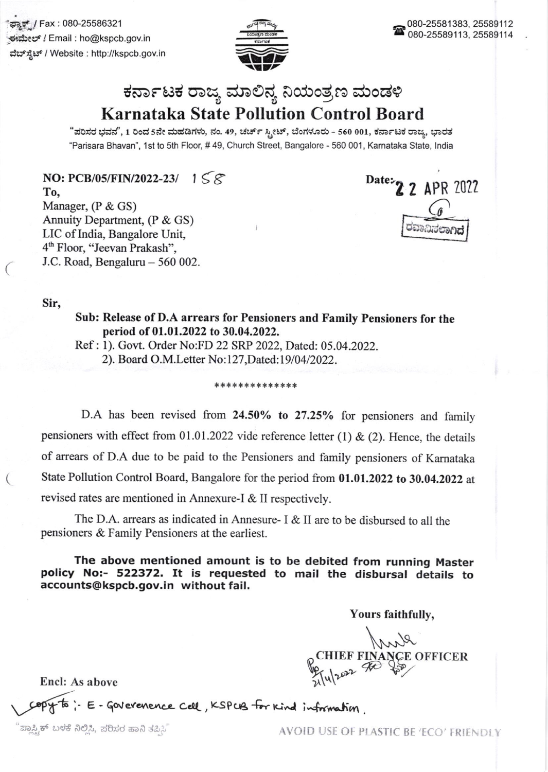ಫ್ಯಾಕ್ / Fax : 080-25586321 ಈಮೇಲ್ / Email : ho@kspcb.gov.in ವೆಬ್ಸ್ಟೆಟ್ / Website : http://kspcb.gov.in



## ಕರ್ನಾಟಕ ರಾಜ್ಯ ಮಾಲಿನ್ಯ ನಿಯಂತ್ರಣ ಮಂಡಳಿ **Karnataka State Pollution Control Board**

"ಪರಿಸರ ಭವನ", 1 ರಿಂದ 5ನೇ ಮಹಡಿಗಳು, ನಂ. 49, ಚರ್ಚ್ ಸ್ತೀಟ್, ಬೆಂಗಳೂರು - 560 001, ಕರ್ನಾಟಕ ರಾಜ್ಯ, ಭಾರತ "Parisara Bhavan", 1st to 5th Floor, #49, Church Street, Bangalore - 560 001, Karnataka State, India

NO: PCB/05/FIN/2022-23/  $1 \leq \mathcal{E}$ To. Manager,  $(P & GS)$ Annuity Department, (P & GS) LIC of India, Bangalore Unit, 4<sup>th</sup> Floor, "Jeevan Prakash", J.C. Road, Bengaluru - 560 002.

Date: 2 2 APR 2022

Sir,

Sub: Release of D.A arrears for Pensioners and Family Pensioners for the period of 01.01.2022 to 30.04.2022.

Ref: 1). Govt. Order No:FD 22 SRP 2022, Dated: 05.04.2022.

2). Board O.M.Letter No:127, Dated:19/04/2022.

## \*\*\*\*\*\*\*\*\*\*\*\*\*\*

D.A has been revised from 24.50% to 27.25% for pensioners and family pensioners with effect from 01.01.2022 vide reference letter (1) & (2). Hence, the details of arrears of D.A due to be paid to the Pensioners and family pensioners of Karnataka State Pollution Control Board, Bangalore for the period from 01.01.2022 to 30.04.2022 at revised rates are mentioned in Annexure-I & II respectively.

The D.A. arrears as indicated in Annesure-  $I \& II$  are to be disbursed to all the pensioners & Family Pensioners at the earliest.

The above mentioned amount is to be debited from running Master policy No:- 522372. It is requested to mail the disbursal details to accounts@kspcb.gov.in without fail.

Yours faithfully,

Anal **E OFFICER** 

**Encl: As above** 

: E-Goverenence cell, KSPUB for Kind information.

ಪ್ಲಾಸ್ಟ್ರಿಕ್ ಬಳಕೆ ನಿಲ್ಲಿಸಿ, ಪರಿಸರ ಹಾನಿ ತಪ್ಪಿಸಿ"

AVOID USE OF PLASTIC BE 'ECO' FRIENDLY